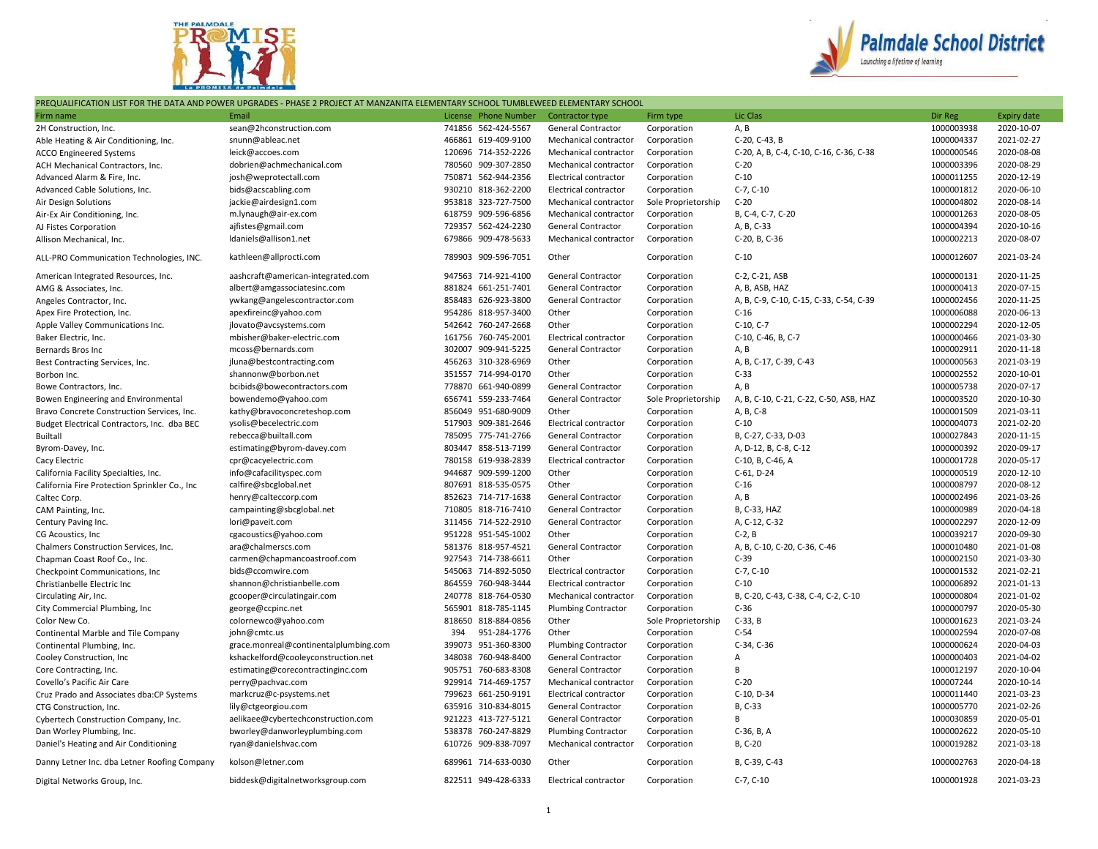



## PREQUALIFICATION LIST FOR THE DATA AND POWER UPGRADES - PHASE 2 PROJECT AT MANZANITA ELEMENTARY SCHOOL TUMBLEWEED ELEMENTARY SCHOOL

| Firm name                                                               | Email                                             | License Phone Number | Contractor type             | Firm type           | Lic Clas                                | Dir Reg    | <b>Expiry date</b> |
|-------------------------------------------------------------------------|---------------------------------------------------|----------------------|-----------------------------|---------------------|-----------------------------------------|------------|--------------------|
| 2H Construction, Inc.                                                   | sean@2hconstruction.com                           | 741856 562-424-5567  | General Contractor          | Corporation         | A, B                                    | 1000003938 | 2020-10-07         |
|                                                                         | snunn@ableac.net                                  | 466861 619-409-9100  | Mechanical contractor       | Corporation         | C-20, C-43, B                           | 1000004337 | 2021-02-27         |
| Able Heating & Air Conditioning, Inc.<br><b>ACCO Engineered Systems</b> | leick@accoes.com                                  | 120696 714-352-2226  | Mechanical contractor       | Corporation         | C-20, A, B, C-4, C-10, C-16, C-36, C-38 | 1000000546 | 2020-08-08         |
|                                                                         | dobrien@achmechanical.com                         | 780560 909-307-2850  | Mechanical contractor       | Corporation         | $C-20$                                  | 1000003396 | 2020-08-29         |
| ACH Mechanical Contractors, Inc.                                        |                                                   | 750871 562-944-2356  |                             |                     | $C-10$                                  | 1000011255 | 2020-12-19         |
| Advanced Alarm & Fire, Inc.                                             | josh@weprotectall.com                             |                      | Electrical contractor       | Corporation         |                                         |            |                    |
| Advanced Cable Solutions, Inc.                                          | bids@acscabling.com                               | 930210 818-362-2200  | Electrical contractor       | Corporation         | $C-7, C-10$                             | 1000001812 | 2020-06-10         |
| Air Design Solutions                                                    | jackie@airdesign1.com                             | 953818 323-727-7500  | Mechanical contractor       | Sole Proprietorship | $C-20$                                  | 1000004802 | 2020-08-14         |
| Air-Ex Air Conditioning, Inc.                                           | m.lynaugh@air-ex.com                              | 618759 909-596-6856  | Mechanical contractor       | Corporation         | B, C-4, C-7, C-20                       | 1000001263 | 2020-08-05         |
| AJ Fistes Corporation                                                   | ajfistes@gmail.com                                | 729357 562-424-2230  | General Contractor          | Corporation         | A, B, C-33                              | 1000004394 | 2020-10-16         |
| Allison Mechanical, Inc.                                                | Idaniels@allison1.net                             | 679866 909-478-5633  | Mechanical contractor       | Corporation         | C-20, B, C-36                           | 1000002213 | 2020-08-07         |
| ALL-PRO Communication Technologies, INC.                                | kathleen@allprocti.com                            | 789903 909-596-7051  | Other                       | Corporation         | $C-10$                                  | 1000012607 | 2021-03-24         |
| American Integrated Resources, Inc.                                     | aashcraft@american-integrated.com                 | 947563 714-921-4100  | <b>General Contractor</b>   | Corporation         | C-2, C-21, ASB                          | 1000000131 | 2020-11-25         |
| AMG & Associates, Inc.                                                  | albert@amgassociatesinc.com                       | 881824 661-251-7401  | General Contractor          | Corporation         | A, B, ASB, HAZ                          | 1000000413 | 2020-07-15         |
| Angeles Contractor, Inc.                                                | ywkang@angelescontractor.com                      | 858483 626-923-3800  | General Contractor          | Corporation         | A, B, C-9, C-10, C-15, C-33, C-54, C-39 | 1000002456 | 2020-11-25         |
| Apex Fire Protection, Inc.                                              | apexfireinc@yahoo.com                             | 954286 818-957-3400  | Other                       | Corporation         | $C-16$                                  | 1000006088 | 2020-06-13         |
| Apple Valley Communications Inc.                                        | jlovato@avcsystems.com                            | 542642 760-247-2668  | Other                       | Corporation         | C-10, C-7                               | 1000002294 | 2020-12-05         |
| Baker Electric. Inc.                                                    | mbisher@baker-electric.com                        | 161756 760-745-2001  | Electrical contractor       | Corporation         | C-10, C-46, B, C-7                      | 1000000466 | 2021-03-30         |
| Bernards Bros Inc                                                       | mcoss@bernards.com                                | 302007 909-941-5225  | General Contractor          | Corporation         | A, B                                    | 1000002911 | 2020-11-18         |
| Best Contracting Services, Inc.                                         | jluna@bestcontracting.com                         | 456263 310-328-6969  | Other                       | Corporation         | A, B, C-17, C-39, C-43                  | 1000000563 | 2021-03-19         |
| Borbon Inc.                                                             | shannonw@borbon.net                               | 351557 714-994-0170  | Other                       | Corporation         | $C-33$                                  | 1000002552 | 2020-10-01         |
| Bowe Contractors, Inc.                                                  | bcibids@bowecontractors.com                       | 778870 661-940-0899  | General Contractor          | Corporation         | A, B                                    | 1000005738 | 2020-07-17         |
| Bowen Engineering and Environmental                                     | bowendemo@yahoo.com                               | 656741 559-233-7464  | General Contractor          | Sole Proprietorship | A, B, C-10, C-21, C-22, C-50, ASB, HAZ  | 1000003520 | 2020-10-30         |
| Bravo Concrete Construction Services, Inc.                              | kathy@bravoconcreteshop.com                       | 856049 951-680-9009  | Other                       | Corporation         | A, B, C-8                               | 1000001509 | 2021-03-11         |
| Budget Electrical Contractors, Inc. dba BEC                             | ysolis@becelectric.com                            | 517903 909-381-2646  | Electrical contractor       | Corporation         | $C-10$                                  | 1000004073 | 2021-02-20         |
| <b>Builtall</b>                                                         | rebecca@builtall.com                              | 785095 775-741-2766  | General Contractor          | Corporation         | B, C-27, C-33, D-03                     | 1000027843 | 2020-11-15         |
| Byrom-Davey, Inc.                                                       | estimating@byrom-davey.com                        | 803447 858-513-7199  | General Contractor          | Corporation         | A, D-12, B, C-8, C-12                   | 1000000392 | 2020-09-17         |
| Cacy Electric                                                           | cpr@cacyelectric.com                              | 780158 619-938-2839  | Electrical contractor       | Corporation         | C-10, B, C-46, A                        | 1000001728 | 2020-05-17         |
| California Facility Specialties, Inc.                                   | info@cafacilityspec.com                           | 944687 909-599-1200  | Other                       | Corporation         | C-61, D-24                              | 1000000519 | 2020-12-10         |
| California Fire Protection Sprinkler Co., Inc.                          | calfire@sbcglobal.net                             | 807691 818-535-0575  | Other                       | Corporation         | $C-16$                                  | 1000008797 | 2020-08-12         |
| Caltec Corp.                                                            | henry@calteccorp.com                              | 852623 714-717-1638  | General Contractor          | Corporation         | A, B                                    | 1000002496 | 2021-03-26         |
| CAM Painting, Inc.                                                      | campainting@sbcglobal.net                         | 710805 818-716-7410  | General Contractor          | Corporation         | B, C-33, HAZ                            | 1000000989 | 2020-04-18         |
| Century Paving Inc.                                                     | lori@paveit.com                                   | 311456 714-522-2910  | General Contractor          | Corporation         | A, C-12, C-32                           | 1000002297 | 2020-12-09         |
|                                                                         | cgacoustics@yahoo.com                             | 951228 951-545-1002  | Other                       | Corporation         | $C-2, B$                                | 1000039217 | 2020-09-30         |
| CG Acoustics, Inc.                                                      |                                                   | 581376 818-957-4521  |                             |                     |                                         | 1000010480 | 2021-01-08         |
| Chalmers Construction Services, Inc.                                    | ara@chalmerscs.com<br>carmen@chapmancoastroof.com | 927543 714-738-6611  | General Contractor<br>Other | Corporation         | A, B, C-10, C-20, C-36, C-46<br>$C-39$  | 1000002150 | 2021-03-30         |
| Chapman Coast Roof Co., Inc.                                            |                                                   |                      |                             | Corporation         |                                         |            |                    |
| Checkpoint Communications, Inc                                          | bids@ccomwire.com                                 | 545063 714-892-5050  | Electrical contractor       | Corporation         | $C-7, C-10$                             | 1000001532 | 2021-02-21         |
| Christianbelle Electric Inc                                             | shannon@christianbelle.com                        | 864559 760-948-3444  | Electrical contractor       | Corporation         | $C-10$                                  | 1000006892 | 2021-01-13         |
| Circulating Air, Inc.                                                   | gcooper@circulatingair.com                        | 240778 818-764-0530  | Mechanical contractor       | Corporation         | B, C-20, C-43, C-38, C-4, C-2, C-10     | 1000000804 | 2021-01-02         |
| City Commercial Plumbing, Inc                                           | george@ccpinc.net                                 | 565901 818-785-1145  | <b>Plumbing Contractor</b>  | Corporation         | $C-36$                                  | 1000000797 | 2020-05-30         |
| Color New Co.                                                           | colornewco@yahoo.com                              | 818650 818-884-0856  | Other                       | Sole Proprietorship | $C-33, B$                               | 1000001623 | 2021-03-24         |
| Continental Marble and Tile Company                                     | john@cmtc.us                                      | 394<br>951-284-1776  | Other                       | Corporation         | $C-54$                                  | 1000002594 | 2020-07-08         |
| Continental Plumbing, Inc.                                              | grace.monreal@continentalplumbing.com             | 399073 951-360-8300  | Plumbing Contractor         | Corporation         | C-34, C-36                              | 1000000624 | 2020-04-03         |
| Cooley Construction, Inc.                                               | kshackelford@cooleyconstruction.net               | 348038 760-948-8400  | General Contractor          | Corporation         | A                                       | 1000000403 | 2021-04-02         |
| Core Contracting, Inc.                                                  | estimating@corecontractinginc.com                 | 905751 760-683-8308  | General Contractor          | Corporation         | B                                       | 1000012197 | 2020-10-04         |
| Covello's Pacific Air Care                                              | perry@pachvac.com                                 | 929914 714-469-1757  | Mechanical contractor       | Corporation         | $C-20$                                  | 100007244  | 2020-10-14         |
| Cruz Prado and Associates dba:CP Systems                                | markcruz@c-psystems.net                           | 799623 661-250-9191  | Electrical contractor       | Corporation         | C-10, D-34                              | 1000011440 | 2021-03-23         |
| CTG Construction, Inc.                                                  | lily@ctgeorgiou.com                               | 635916 310-834-8015  | General Contractor          | Corporation         | B, C-33                                 | 1000005770 | 2021-02-26         |
| Cybertech Construction Company, Inc.                                    | aelikaee@cybertechconstruction.com                | 921223 413-727-5121  | General Contractor          | Corporation         | B                                       | 1000030859 | 2020-05-01         |
| Dan Worley Plumbing, Inc.                                               | bworley@danworleyplumbing.com                     | 538378 760-247-8829  | <b>Plumbing Contractor</b>  | Corporation         | C-36, B, A                              | 1000002622 | 2020-05-10         |
| Daniel's Heating and Air Conditioning                                   | ryan@danielshvac.com                              | 610726 909-838-7097  | Mechanical contractor       | Corporation         | B, C-20                                 | 1000019282 | 2021-03-18         |
| Danny Letner Inc. dba Letner Roofing Company                            | kolson@letner.com                                 | 689961 714-633-0030  | Other                       | Corporation         | B, C-39, C-43                           | 1000002763 | 2020-04-18         |
| Digital Networks Group, Inc.                                            | biddesk@digitalnetworksgroup.com                  | 822511 949-428-6333  | Electrical contractor       | Corporation         | $C-7, C-10$                             | 1000001928 | 2021-03-23         |
|                                                                         |                                                   |                      |                             |                     |                                         |            |                    |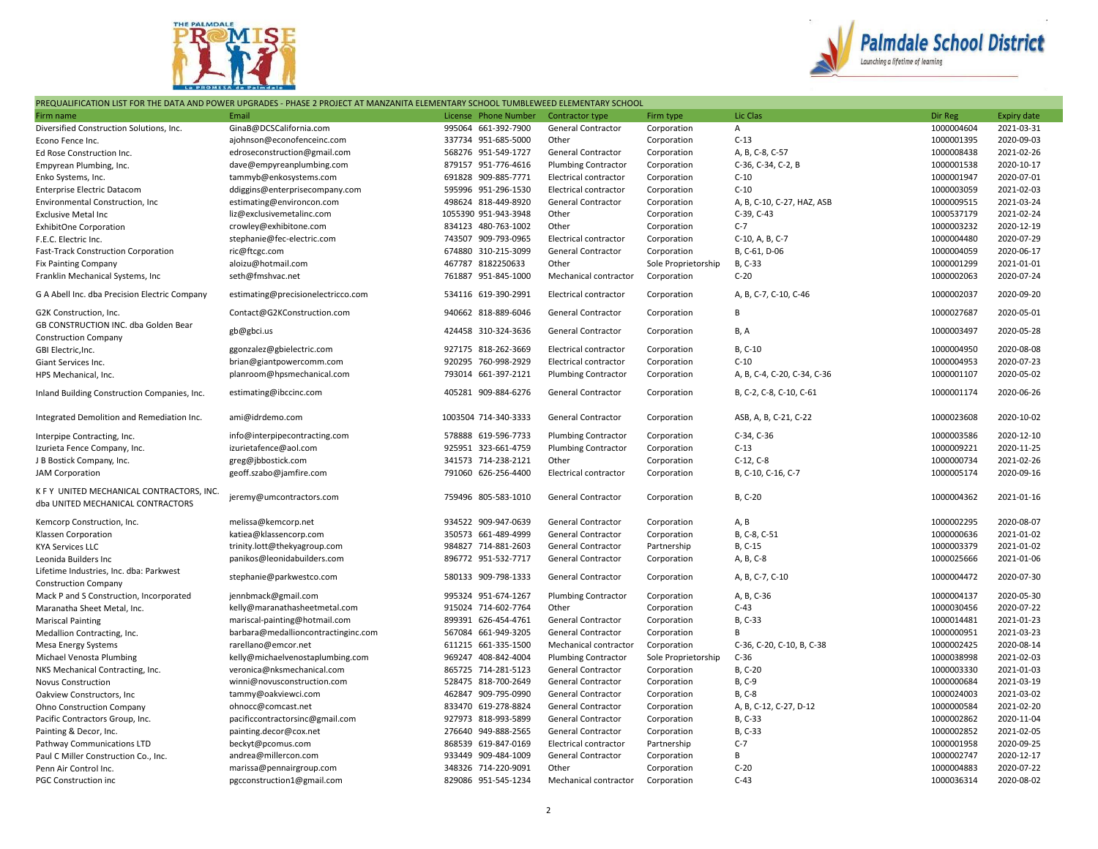



## PREQUALIFICATION LIST FOR THE DATA AND POWER UPGRADES - PHASE 2 PROJECT AT MANZANITA ELEMENTARY SCHOOL TUMBLEWEED ELEMENTARY SCHOOL

| Firm name                                                                      | Email                               | License Phone Number | Contractor type              | Firm type           | Lic Clas                    | Dir Reg    | <b>Expiry date</b> |
|--------------------------------------------------------------------------------|-------------------------------------|----------------------|------------------------------|---------------------|-----------------------------|------------|--------------------|
| Diversified Construction Solutions, Inc.                                       | GinaB@DCSCalifornia.com             | 995064 661-392-7900  | General Contractor           | Corporation         | А                           | 1000004604 | 2021-03-31         |
| Econo Fence Inc.                                                               | ajohnson@econofenceinc.com          | 337734 951-685-5000  | Other                        | Corporation         | $C-13$                      | 1000001395 | 2020-09-03         |
| Ed Rose Construction Inc.                                                      | edroseconstruction@gmail.com        | 568276 951-549-1727  | General Contractor           | Corporation         | A, B, C-8, C-57             | 1000008438 | 2021-02-26         |
| Empyrean Plumbing, Inc.                                                        | dave@empyreanplumbing.com           | 879157 951-776-4616  | <b>Plumbing Contractor</b>   | Corporation         | C-36, C-34, C-2, B          | 1000001538 | 2020-10-17         |
| Enko Systems, Inc.                                                             | tammyb@enkosystems.com              | 691828 909-885-7771  | Electrical contractor        | Corporation         | $C-10$                      | 1000001947 | 2020-07-01         |
| Enterprise Electric Datacom                                                    | ddiggins@enterprisecompany.com      | 595996 951-296-1530  | Electrical contractor        | Corporation         | $C-10$                      | 1000003059 | 2021-02-03         |
| Environmental Construction, Inc                                                | estimating@environcon.com           | 498624 818-449-8920  | General Contractor           | Corporation         | A, B, C-10, C-27, HAZ, ASB  | 1000009515 | 2021-03-24         |
| <b>Exclusive Metal Inc</b>                                                     | liz@exclusivemetalinc.com           | 1055390 951-943-3948 | Other                        | Corporation         | C-39, C-43                  | 1000537179 | 2021-02-24         |
| ExhibitOne Corporation                                                         | crowley@exhibitone.com              | 834123 480-763-1002  | Other                        | Corporation         | $C-7$                       | 1000003232 | 2020-12-19         |
| F.E.C. Electric Inc.                                                           | stephanie@fec-electric.com          | 743507 909-793-0965  | Electrical contractor        | Corporation         | C-10, A, B, C-7             | 1000004480 | 2020-07-29         |
|                                                                                | ric@ftcgc.com                       | 674880 310-215-3099  | General Contractor           | Corporation         | B, C-61, D-06               | 1000004059 | 2020-06-17         |
| Fast-Track Construction Corporation                                            | aloizu@hotmail.com                  | 467787 8182250633    | Other                        | Sole Proprietorship | B, C-33                     | 1000001299 | 2021-01-01         |
| <b>Fix Painting Company</b>                                                    | seth@fmshvac.net                    | 761887 951-845-1000  |                              |                     | $C-20$                      | 1000002063 | 2020-07-24         |
| Franklin Mechanical Systems, Inc                                               |                                     |                      | Mechanical contractor        | Corporation         |                             |            |                    |
| G A Abell Inc. dba Precision Electric Company                                  | estimating@precisionelectricco.com  | 534116 619-390-2991  | <b>Electrical contractor</b> | Corporation         | A, B, C-7, C-10, C-46       | 1000002037 | 2020-09-20         |
| G2K Construction, Inc.                                                         | Contact@G2KConstruction.com         | 940662 818-889-6046  | General Contractor           | Corporation         | В                           | 1000027687 | 2020-05-01         |
| GB CONSTRUCTION INC. dba Golden Bear<br><b>Construction Company</b>            | gb@gbci.us                          | 424458 310-324-3636  | General Contractor           | Corporation         | B, A                        | 1000003497 | 2020-05-28         |
| GBI Electric, Inc.                                                             | ggonzalez@gbielectric.com           | 927175 818-262-3669  | Electrical contractor        | Corporation         | B, C-10                     | 1000004950 | 2020-08-08         |
| Giant Services Inc.                                                            | brian@giantpowercomm.com            | 920295 760-998-2929  | Electrical contractor        | Corporation         | $C-10$                      | 1000004953 | 2020-07-23         |
| HPS Mechanical, Inc.                                                           | planroom@hpsmechanical.com          | 793014 661-397-2121  | <b>Plumbing Contractor</b>   | Corporation         | A, B, C-4, C-20, C-34, C-36 | 1000001107 | 2020-05-02         |
| Inland Building Construction Companies, Inc.                                   | estimating@ibccinc.com              | 405281 909-884-6276  | General Contractor           | Corporation         | B, C-2, C-8, C-10, C-61     | 1000001174 | 2020-06-26         |
| Integrated Demolition and Remediation Inc.                                     | ami@idrdemo.com                     | 1003504 714-340-3333 | General Contractor           | Corporation         | ASB, A, B, C-21, C-22       | 1000023608 | 2020-10-02         |
| Interpipe Contracting, Inc.                                                    | info@interpipecontracting.com       | 578888 619-596-7733  | <b>Plumbing Contractor</b>   | Corporation         | C-34, C-36                  | 1000003586 | 2020-12-10         |
| Izurieta Fence Company, Inc.                                                   | izurietafence@aol.com               | 925951 323-661-4759  | <b>Plumbing Contractor</b>   | Corporation         | $C-13$                      | 1000009221 | 2020-11-25         |
| J B Bostick Company, Inc.                                                      | greg@jbbostick.com                  | 341573 714-238-2121  | Other                        | Corporation         | $C-12, C-8$                 | 1000000734 | 2021-02-26         |
| <b>JAM Corporation</b>                                                         | geoff.szabo@jamfire.com             | 791060 626-256-4400  | Electrical contractor        | Corporation         | B, C-10, C-16, C-7          | 1000005174 | 2020-09-16         |
|                                                                                |                                     |                      |                              |                     |                             |            |                    |
| K F Y UNITED MECHANICAL CONTRACTORS, INC.<br>dba UNITED MECHANICAL CONTRACTORS | jeremy@umcontractors.com            | 759496 805-583-1010  | <b>General Contractor</b>    | Corporation         | B, C-20                     | 1000004362 | 2021-01-16         |
| Kemcorp Construction, Inc.                                                     | melissa@kemcorp.net                 | 934522 909-947-0639  | General Contractor           | Corporation         | A, B                        | 1000002295 | 2020-08-07         |
| Klassen Corporation                                                            | katiea@klassencorp.com              | 350573 661-489-4999  | General Contractor           | Corporation         | B, C-8, C-51                | 1000000636 | 2021-01-02         |
| <b>KYA Services LLC</b>                                                        | trinity.lott@thekyagroup.com        | 984827 714-881-2603  | General Contractor           | Partnership         | B, C-15                     | 1000003379 | 2021-01-02         |
| Leonida Builders Inc                                                           | panikos@leonidabuilders.com         | 896772 951-532-7717  | General Contractor           | Corporation         | A, B, C-8                   | 1000025666 | 2021-01-06         |
| Lifetime Industries, Inc. dba: Parkwest                                        |                                     |                      |                              |                     |                             |            |                    |
| <b>Construction Company</b>                                                    | stephanie@parkwestco.com            | 580133 909-798-1333  | General Contractor           | Corporation         | A, B, C-7, C-10             | 1000004472 | 2020-07-30         |
| Mack P and S Construction, Incorporated                                        | jennbmack@gmail.com                 | 995324 951-674-1267  | <b>Plumbing Contractor</b>   | Corporation         | A, B, C-36                  | 1000004137 | 2020-05-30         |
| Maranatha Sheet Metal, Inc.                                                    | kelly@maranathasheetmetal.com       | 915024 714-602-7764  | Other                        | Corporation         | $C-43$                      | 1000030456 | 2020-07-22         |
| <b>Mariscal Painting</b>                                                       | mariscal-painting@hotmail.com       | 899391 626-454-4761  | General Contractor           | Corporation         | B, C-33                     | 1000014481 | 2021-01-23         |
| Medallion Contracting, Inc.                                                    | barbara@medallioncontractinginc.com | 567084 661-949-3205  | General Contractor           | Corporation         | B                           | 1000000951 | 2021-03-23         |
| Mesa Energy Systems                                                            | rarellano@emcor.net                 | 611215 661-335-1500  | Mechanical contractor        | Corporation         | C-36, C-20, C-10, B, C-38   | 1000002425 | 2020-08-14         |
| Michael Venosta Plumbing                                                       | kelly@michaelvenostaplumbing.com    | 969247 408-842-4004  | <b>Plumbing Contractor</b>   | Sole Proprietorship | $C-36$                      | 1000038998 | 2021-02-03         |
| NKS Mechanical Contracting, Inc.                                               | veronica@nksmechanical.com          | 865725 714-281-5123  | General Contractor           | Corporation         | B, C-20                     | 1000003330 | 2021-01-03         |
| Novus Construction                                                             | winni@novusconstruction.com         | 528475 818-700-2649  | General Contractor           | Corporation         | B, C-9                      | 1000000684 | 2021-03-19         |
| Oakview Constructors, Inc.                                                     | tammy@oakviewci.com                 | 462847 909-795-0990  | General Contractor           | Corporation         | B, C-8                      | 1000024003 | 2021-03-02         |
| Ohno Construction Company                                                      | ohnocc@comcast.net                  | 833470 619-278-8824  | General Contractor           | Corporation         | A, B, C-12, C-27, D-12      | 1000000584 | 2021-02-20         |
| Pacific Contractors Group, Inc.                                                | pacificcontractorsinc@gmail.com     | 927973 818-993-5899  | <b>General Contractor</b>    | Corporation         | B, C-33                     | 1000002862 | 2020-11-04         |
|                                                                                | painting.decor@cox.net              | 276640 949-888-2565  | <b>General Contractor</b>    |                     | B, C-33                     | 1000002852 | 2021-02-05         |
| Painting & Decor, Inc.                                                         |                                     | 868539 619-847-0169  |                              | Corporation         | $C-7$                       | 1000001958 | 2020-09-25         |
| Pathway Communications LTD                                                     | beckyt@pcomus.com                   |                      | Electrical contractor        | Partnership         | B                           |            |                    |
| Paul C Miller Construction Co., Inc.                                           | andrea@millercon.com                | 933449 909-484-1009  | General Contractor           | Corporation         |                             | 1000002747 | 2020-12-17         |
| Penn Air Control Inc.                                                          | marissa@pennairgroup.com            | 348326 714-220-9091  | Other                        | Corporation         | $C-20$                      | 1000004883 | 2020-07-22         |
| <b>PGC Construction inc</b>                                                    | pgcconstruction1@gmail.com          | 829086 951-545-1234  | Mechanical contractor        | Corporation         | $C-43$                      | 1000036314 | 2020-08-02         |